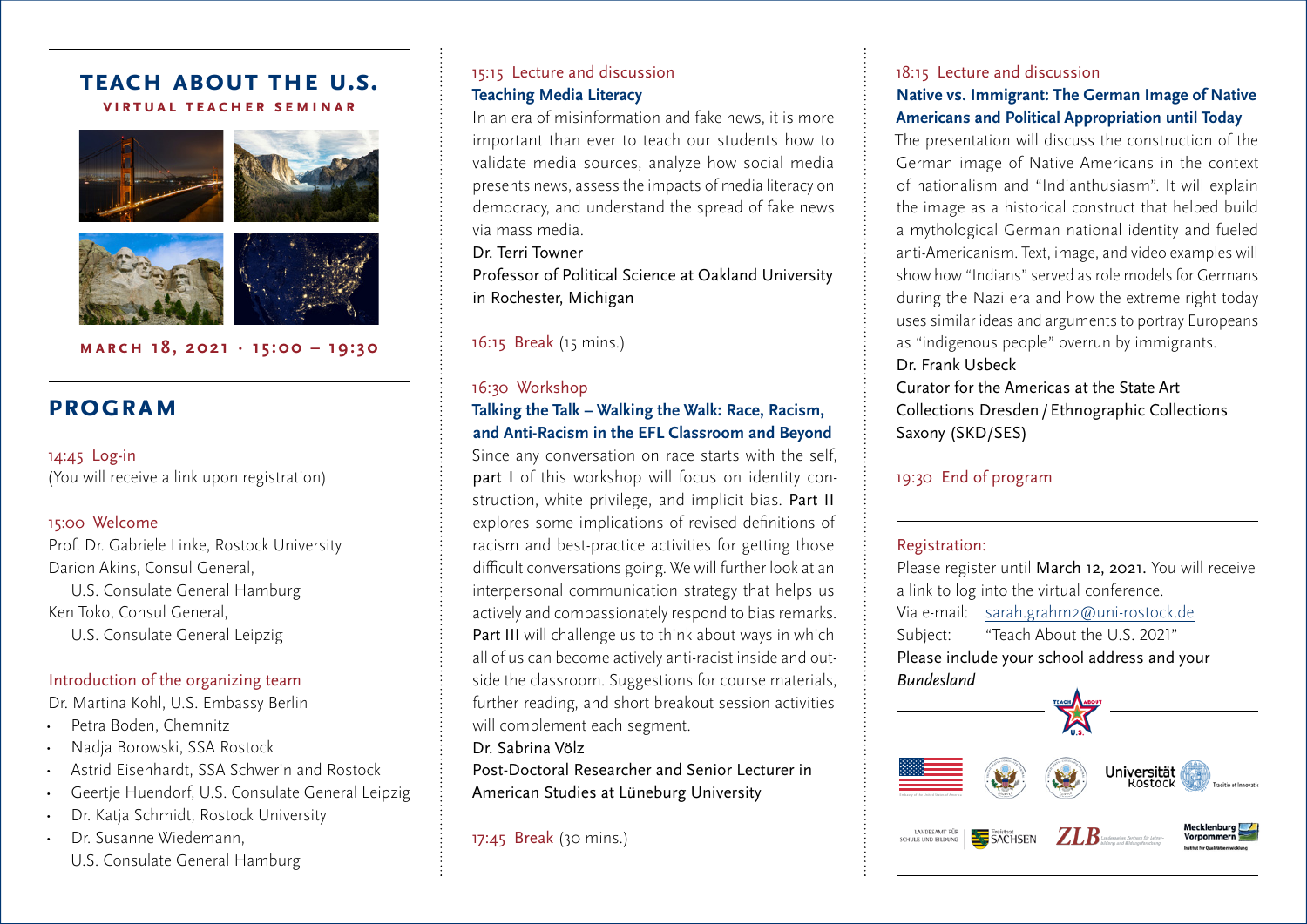## **tEacH aBOut tHE u.S. VIRtual tEacHER SEMINaR**



**MaRcH 18, 2021 · 15:00 – 19:30**

# **PROGRaM**

#### 14:45 Log-in

(You will receive a link upon registration)

#### 15:00 Welcome

Prof. Dr. Gabriele Linke, Rostock University Darion Akins, Consul General, U.S. Consulate General Hamburg Ken Toko, Consul General, U.S. Consulate General Leipzig

#### Introduction of the organizing team

Dr. Martina Kohl, U.S. Embassy Berlin

- Petra Boden, Chemnitz
- Nadja Borowski, SSA Rostock
- Astrid Eisenhardt, SSA Schwerin and Rostock
- Geertje Huendorf, U.S. Consulate General Leipzig
- Dr. Katja Schmidt, Rostock University
- Dr. Susanne Wiedemann, U.S. Consulate General Hamburg

## 15:15 Lecture and discussion **Teaching Media Literacy**

In an era of misinformation and fake news, it is more important than ever to teach our students how to validate media sources, analyze how social media presents news, assess the impacts of media literacy on democracy, and understand the spread of fake news via mass media.

#### Dr. Terri Towner

Professor of Political Science at Oakland University in Rochester, Michigan

16:15 Break (15 mins.)

#### 16:30 Workshop

## **Talking the Talk – Walking the Walk: Race, Racism, and Anti-Racism in the EFL Classroom and Beyond**

Since any conversation on race starts with the self, part I of this workshop will focus on identity construction, white privilege, and implicit bias. Part II explores some implications of revised definitions of racism and best-practice activities for getting those difficult conversations going. We will further look at an interpersonal communication strategy that helps us actively and compassionately respond to bias remarks. Part III will challenge us to think about ways in which all of us can become actively anti-racist inside and outside the classroom. Suggestions for course materials, further reading, and short breakout session activities will complement each segment.

#### Dr. Sabrina Völz

Post-Doctoral Researcher and Senior Lecturer in American Studies at Lüneburg University

17:45 Break (30 mins.)

### 18:15 Lecture and discussion

## **Native vs. Immigrant: The German Image of Native Americans and Political Appropriation until Today**

The presentation will discuss the construction of the German image of Native Americans in the context of nationalism and "Indianthusiasm". It will explain the image as a historical construct that helped build a mythological German national identity and fueled anti-Americanism. Text, image, and video examples will show how "Indians" served as role models for Germans during the Nazi era and how the extreme right today uses similar ideas and arguments to portray Europeans as "indigenous people" overrun by immigrants.

#### Dr. Frank Usbeck

Curator for the Americas at the State Art Collections Dresden / Ethnographic Collections Saxony (SKD/SES)

## 19:30 End of program

#### Registration:

Please register until March 12, 2021. You will receive a link to log into the virtual conference. Via e-mail: sarah.grahm2@uni-rostock.de Subject: "Teach About the U.S. 2021" Please include your school address and your *Bundesland*